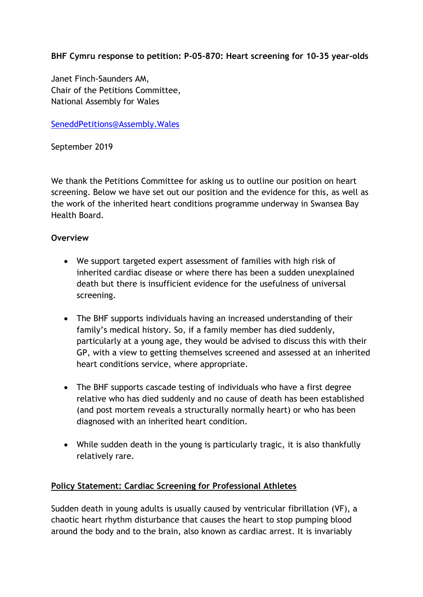**BHF Cymru response to petition: P-05-870: Heart screening for 10-35 year-olds**

Janet Finch-Saunders AM, Chair of the Petitions Committee, National Assembly for Wales

[SeneddPetitions@Assembly.Wales](mailto:SeneddPetitions@assembly.wales)

September 2019

We thank the Petitions Committee for asking us to outline our position on heart screening. Below we have set out our position and the evidence for this, as well as the work of the inherited heart conditions programme underway in Swansea Bay Health Board.

# **Overview**

- We support targeted expert assessment of families with high risk of inherited cardiac disease or where there has been a sudden unexplained death but there is insufficient evidence for the usefulness of universal screening.
- The BHF supports individuals having an increased understanding of their family's medical history. So, if a family member has died suddenly, particularly at a young age, they would be advised to discuss this with their GP, with a view to getting themselves screened and assessed at an inherited heart conditions service, where appropriate.
- The BHF supports cascade testing of individuals who have a first degree relative who has died suddenly and no cause of death has been established (and post mortem reveals a structurally normally heart) or who has been diagnosed with an inherited heart condition.
- While sudden death in the young is particularly tragic, it is also thankfully relatively rare.

# **Policy Statement: Cardiac Screening for Professional Athletes**

Sudden death in young adults is usually caused by ventricular fibrillation (VF), a chaotic heart rhythm disturbance that causes the heart to stop pumping blood around the body and to the brain, also known as cardiac arrest. It is invariably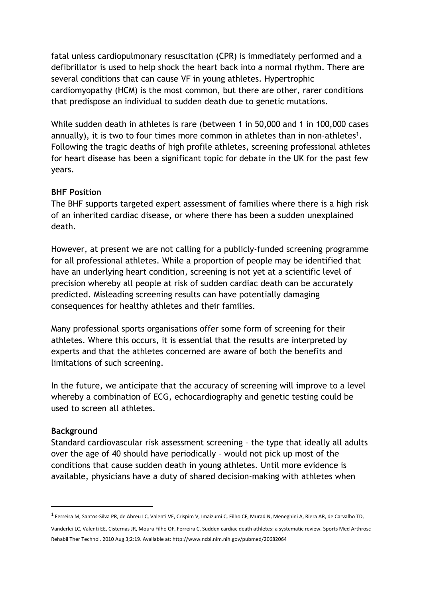fatal unless cardiopulmonary resuscitation (CPR) is immediately performed and a defibrillator is used to help shock the heart back into a normal rhythm. There are several conditions that can cause VF in young athletes. Hypertrophic cardiomyopathy (HCM) is the most common, but there are other, rarer conditions that predispose an individual to sudden death due to genetic mutations.

While sudden death in athletes is rare (between 1 in 50,000 and 1 in 100,000 cases annually), it is two to four times more common in athletes than in non-athletes<sup>1</sup>. Following the tragic deaths of high profile athletes, screening professional athletes for heart disease has been a significant topic for debate in the UK for the past few years.

## **BHF Position**

The BHF supports targeted expert assessment of families where there is a high risk of an inherited cardiac disease, or where there has been a sudden unexplained death.

However, at present we are not calling for a publicly-funded screening programme for all professional athletes. While a proportion of people may be identified that have an underlying heart condition, screening is not yet at a scientific level of precision whereby all people at risk of sudden cardiac death can be accurately predicted. Misleading screening results can have potentially damaging consequences for healthy athletes and their families.

Many professional sports organisations offer some form of screening for their athletes. Where this occurs, it is essential that the results are interpreted by experts and that the athletes concerned are aware of both the benefits and limitations of such screening.

In the future, we anticipate that the accuracy of screening will improve to a level whereby a combination of ECG, echocardiography and genetic testing could be used to screen all athletes.

### **Background**

Standard cardiovascular risk assessment screening – the type that ideally all adults over the age of 40 should have periodically – would not pick up most of the conditions that cause sudden death in young athletes. Until more evidence is available, physicians have a duty of shared decision-making with athletes when

<sup>&</sup>lt;sup>1</sup> Ferreira M, Santos-Silva PR, de Abreu LC, Valenti VE, Crispim V, Imaizumi C, Filho CF, Murad N, Meneghini A, Riera AR, de Carvalho TD,

Vanderlei LC, Valenti EE, Cisternas JR, Moura Filho OF, Ferreira C. Sudden cardiac death athletes: a systematic review. Sports Med Arthrosc Rehabil Ther Technol. 2010 Aug 3;2:19. Available at: http://www.ncbi.nlm.nih.gov/pubmed/20682064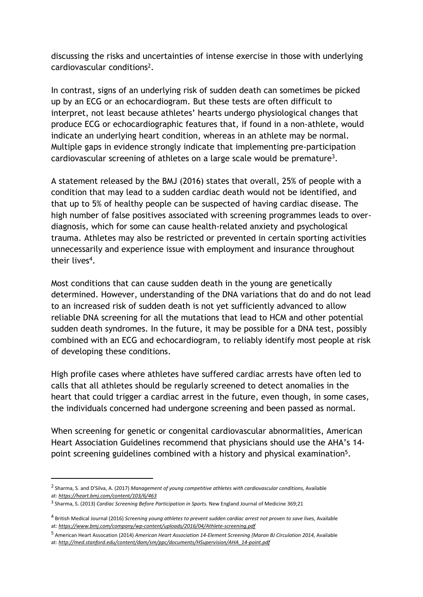discussing the risks and uncertainties of intense exercise in those with underlying cardiovascular conditions<sup>2</sup>.

In contrast, signs of an underlying risk of sudden death can sometimes be picked up by an ECG or an echocardiogram. But these tests are often difficult to interpret, not least because athletes' hearts undergo physiological changes that produce ECG or echocardiographic features that, if found in a non-athlete, would indicate an underlying heart condition, whereas in an athlete may be normal. Multiple gaps in evidence strongly indicate that implementing pre-participation cardiovascular screening of athletes on a large scale would be premature<sup>3</sup>.

A statement released by the BMJ (2016) states that overall, 25% of people with a condition that may lead to a sudden cardiac death would not be identified, and that up to 5% of healthy people can be suspected of having cardiac disease. The high number of false positives associated with screening programmes leads to overdiagnosis, which for some can cause health-related anxiety and psychological trauma. Athletes may also be restricted or prevented in certain sporting activities unnecessarily and experience issue with employment and insurance throughout their lives<sup>4</sup>.

Most conditions that can cause sudden death in the young are genetically determined. However, understanding of the DNA variations that do and do not lead to an increased risk of sudden death is not yet sufficiently advanced to allow reliable DNA screening for all the mutations that lead to HCM and other potential sudden death syndromes. In the future, it may be possible for a DNA test, possibly combined with an ECG and echocardiogram, to reliably identify most people at risk of developing these conditions.

High profile cases where athletes have suffered cardiac arrests have often led to calls that all athletes should be regularly screened to detect anomalies in the heart that could trigger a cardiac arrest in the future, even though, in some cases, the individuals concerned had undergone screening and been passed as normal.

When screening for genetic or congenital cardiovascular abnormalities, American Heart Association Guidelines recommend that physicians should use the AHA's 14 point screening guidelines combined with a history and physical examination<sup>5</sup>.

<sup>2</sup> Sharma, S. and D'Silva, A. (2017) *Management of young competitive athletes with cardiovascular conditions,* Available at: *https://heart.bmj.com/content/103/6/463*

<sup>3</sup> Sharma, S. (2013) *Cardiac Screening Before Participation in Sports.* New England Journal of Medicine 369;21

<sup>4</sup> British Medical Journal (2016) *Screening young athletes to prevent sudden cardiac arrest not proven to save lives,* Available at: *https://www.bmj.com/company/wp-content/uploads/2016/04/Athlete-screening.pdf*

<sup>5</sup> American Heart Assocation (2014) *American Heart Association 14-Element Screening (Maron BJ Circulation 2014,* Available at: *http://med.stanford.edu/content/dam/sm/ppc/documents/HSupervision/AHA\_14-point.pdf*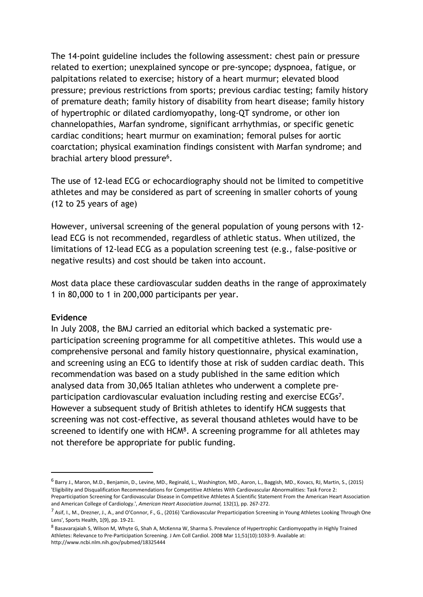The 14-point guideline includes the following assessment: chest pain or pressure related to exertion; unexplained syncope or pre-syncope; dyspnoea, fatigue, or palpitations related to exercise; history of a heart murmur; elevated blood pressure; previous restrictions from sports; previous cardiac testing; family history of premature death; family history of disability from heart disease; family history of hypertrophic or dilated cardiomyopathy, long-QT syndrome, or other ion channelopathies, Marfan syndrome, significant arrhythmias, or specific genetic cardiac conditions; heart murmur on examination; femoral pulses for aortic coarctation; physical examination findings consistent with Marfan syndrome; and brachial artery blood pressure<sup>6</sup>.

The use of 12-lead ECG or echocardiography should not be limited to competitive athletes and may be considered as part of screening in smaller cohorts of young (12 to 25 years of age)

However, universal screening of the general population of young persons with 12 lead ECG is not recommended, regardless of athletic status. When utilized, the limitations of 12-lead ECG as a population screening test (e.g., false-positive or negative results) and cost should be taken into account.

Most data place these cardiovascular sudden deaths in the range of approximately 1 in 80,000 to 1 in 200,000 participants per year.

### **Evidence**

In July 2008, the BMJ carried an editorial which backed a systematic preparticipation screening programme for all competitive athletes. This would use a comprehensive personal and family history questionnaire, physical examination, and screening using an ECG to identify those at risk of sudden cardiac death. This recommendation was based on a study published in the same edition which analysed data from 30,065 Italian athletes who underwent a complete preparticipation cardiovascular evaluation including resting and exercise ECGs<sup>7</sup>. However a subsequent study of British athletes to identify HCM suggests that screening was not cost-effective, as several thousand athletes would have to be screened to identify one with HCM<sup>8</sup>. A screening programme for all athletes may not therefore be appropriate for public funding.

<sup>6</sup> Barry J., Maron, M.D., Benjamin, D., Levine, MD., Reginald, L., Washington, MD., Aaron, L., Baggish, MD., Kovacs, RJ, Martin, S., (2015) 'Eligibility and Disqualification Recommendations for Competitive Athletes With Cardiovascular Abnormalities: Task Force 2: Preparticipation Screening for Cardiovascular Disease in Competitive Athletes A Scientific Statement From the American Heart Association and American College of Cardiology.', *American Heart Association Journal,* 132(1), pp. 267-272.

<sup>7</sup> Asif, I., M., Drezner, J., A., and O'Connor, F., G., (2016) 'Cardiovascular Preparticipation Screening in Young Athletes Looking Through One Lens', Sports Health, 1(9), pp. 19-21.

<sup>8</sup> Basavarajaiah S, Wilson M, Whyte G, Shah A, McKenna W, Sharma S. Prevalence of Hypertrophic Cardiomyopathy in Highly Trained Athletes: Relevance to Pre-Participation Screening. J Am Coll Cardiol. 2008 Mar 11;51(10):1033-9. Available at: http://www.ncbi.nlm.nih.gov/pubmed/18325444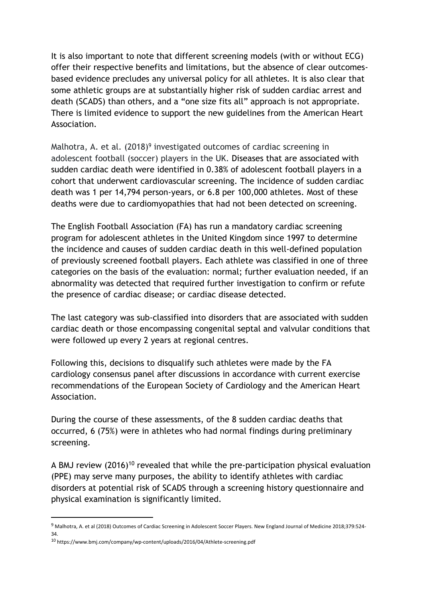It is also important to note that different screening models (with or without ECG) offer their respective benefits and limitations, but the absence of clear outcomesbased evidence precludes any universal policy for all athletes. It is also clear that some athletic groups are at substantially higher risk of sudden cardiac arrest and death (SCADS) than others, and a "one size fits all" approach is not appropriate. There is limited evidence to support the new guidelines from the American Heart Association.

Malhotra, A. et al.  $(2018)^9$  investigated outcomes of cardiac screening in adolescent football (soccer) players in the UK. Diseases that are associated with sudden cardiac death were identified in 0.38% of adolescent football players in a cohort that underwent cardiovascular screening. The incidence of sudden cardiac death was 1 per 14,794 person-years, or 6.8 per 100,000 athletes. Most of these deaths were due to cardiomyopathies that had not been detected on screening.

The English Football Association (FA) has run a mandatory cardiac screening program for adolescent athletes in the United Kingdom since 1997 to determine the incidence and causes of sudden cardiac death in this well-defined population of previously screened football players. Each athlete was classified in one of three categories on the basis of the evaluation: normal; further evaluation needed, if an abnormality was detected that required further investigation to confirm or refute the presence of cardiac disease; or cardiac disease detected.

The last category was sub-classified into disorders that are associated with sudden cardiac death or those encompassing congenital septal and valvular conditions that were followed up every 2 years at regional centres.

Following this, decisions to disqualify such athletes were made by the FA cardiology consensus panel after discussions in accordance with current exercise recommendations of the European Society of Cardiology and the American Heart Association.

During the course of these assessments, of the 8 sudden cardiac deaths that occurred, 6 (75%) were in athletes who had normal findings during preliminary screening.

A BMJ review (2016)<sup>10</sup> revealed that while the pre-participation physical evaluation (PPE) may serve many purposes, the ability to identify athletes with cardiac disorders at potential risk of SCADS through a screening history questionnaire and physical examination is significantly limited.

<sup>9</sup> Malhotra, A. et al (2018) Outcomes of Cardiac Screening in Adolescent Soccer Players. New England Journal of Medicine 2018;379:524-34.

<sup>10</sup> https://www.bmj.com/company/wp-content/uploads/2016/04/Athlete-screening.pdf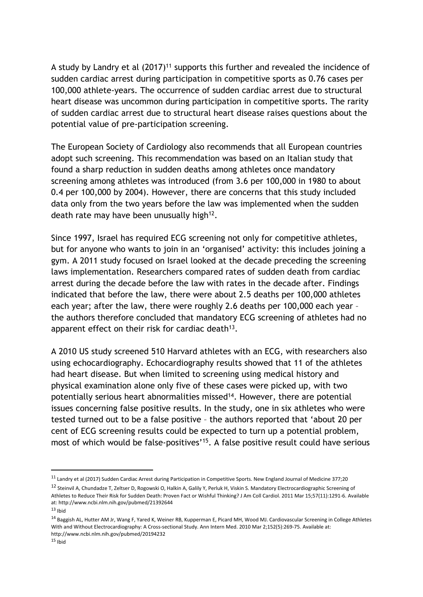A study by Landry et al (2017)<sup>11</sup> supports this further and revealed the incidence of sudden cardiac arrest during participation in competitive sports as 0.76 cases per 100,000 athlete-years. The occurrence of sudden cardiac arrest due to structural heart disease was uncommon during participation in competitive sports. The rarity of sudden cardiac arrest due to structural heart disease raises questions about the potential value of pre-participation screening.

The European Society of Cardiology also recommends that all European countries adopt such screening. This recommendation was based on an Italian study that found a sharp reduction in sudden deaths among athletes once mandatory screening among athletes was introduced (from 3.6 per 100,000 in 1980 to about 0.4 per 100,000 by 2004). However, there are concerns that this study included data only from the two years before the law was implemented when the sudden death rate may have been unusually high<sup>12</sup>.

Since 1997, Israel has required ECG screening not only for competitive athletes, but for anyone who wants to join in an 'organised' activity: this includes joining a gym. A 2011 study focused on Israel looked at the decade preceding the screening laws implementation. Researchers compared rates of sudden death from cardiac arrest during the decade before the law with rates in the decade after. Findings indicated that before the law, there were about 2.5 deaths per 100,000 athletes each year; after the law, there were roughly 2.6 deaths per 100,000 each year – the authors therefore concluded that mandatory ECG screening of athletes had no apparent effect on their risk for cardiac death<sup>13</sup>.

A 2010 US study screened 510 Harvard athletes with an ECG, with researchers also using echocardiography. Echocardiography results showed that 11 of the athletes had heart disease. But when limited to screening using medical history and physical examination alone only five of these cases were picked up, with two potentially serious heart abnormalities missed<sup>14</sup>. However, there are potential issues concerning false positive results. In the study, one in six athletes who were tested turned out to be a false positive – the authors reported that 'about 20 per cent of ECG screening results could be expected to turn up a potential problem, most of which would be false-positives'<sup>15</sup> . A false positive result could have serious

<sup>11</sup> Landry et al (2017) Sudden Cardiac Arrest during Participation in Competitive Sports. New England Journal of Medicine 377;20

<sup>&</sup>lt;sup>12</sup> Steinvil A, Chundadze T, Zeltser D, Rogowski O, Halkin A, Galily Y, Perluk H, Viskin S. Mandatory Electrocardiographic Screening of Athletes to Reduce Their Risk for Sudden Death: Proven Fact or Wishful Thinking? J Am Coll Cardiol. 2011 Mar 15;57(11):1291-6. Available at: http://www.ncbi.nlm.nih.gov/pubmed/21392644

 $13$  Ibid

<sup>14</sup> Baggish AL, Hutter AM Jr, Wang F, Yared K, Weiner RB, Kupperman E, Picard MH, Wood MJ. Cardiovascular Screening in College Athletes With and Without Electrocardiography: A Cross-sectional Study. Ann Intern Med. 2010 Mar 2;152(5):269-75. Available at: http://www.ncbi.nlm.nih.gov/pubmed/20194232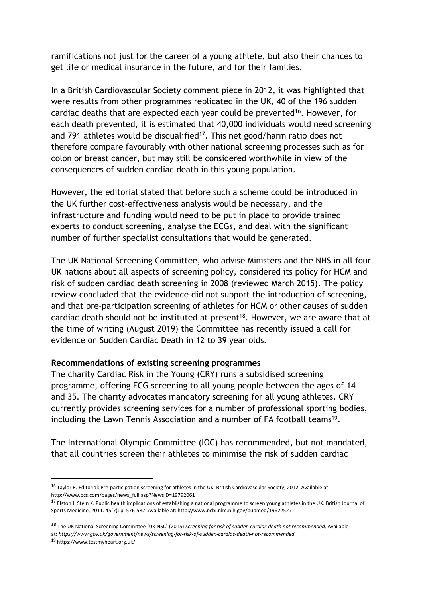ramifications not just for the career of a young athlete, but also their chances to get life or medical insurance in the future, and for their families.

In a British Cardiovascular Society comment piece in 2012, it was highlighted that were results from other programmes replicated in the UK, 40 of the 196 sudden cardiac deaths that are expected each year could be prevented<sup>16</sup>. However, for each death prevented, it is estimated that 40,000 individuals would need screening and 791 athletes would be disqualified<sup>17</sup>. This net good/harm ratio does not therefore compare favourably with other national screening processes such as for colon or breast cancer, but may still be considered worthwhile in view of the consequences of sudden cardiac death in this young population.

However, the editorial stated that before such a scheme could be introduced in the UK further cost-effectiveness analysis would be necessary, and the infrastructure and funding would need to be put in place to provide trained experts to conduct screening, analyse the ECGs, and deal with the significant number of further specialist consultations that would be generated.

The UK National Screening Committee, who advise Ministers and the NHS in all four UK nations about all aspects of screening policy, considered its policy for HCM and risk of sudden cardiac death screening in 2008 (reviewed March 2015). The policy review concluded that the evidence did not support the introduction of screening, and that pre-participation screening of athletes for HCM or other causes of sudden cardiac death should not be instituted at present<sup>18</sup>. However, we are aware that at the time of writing (August 2019) the Committee has recently issued a call for evidence on Sudden Cardiac Death in 12 to 39 year olds.

## **Recommendations of existing screening programmes**

The charity Cardiac Risk in the Young (CRY) runs a subsidised screening programme, offering ECG screening to all young people between the ages of 14 and 35. The charity advocates mandatory screening for all young athletes. CRY currently provides screening services for a number of professional sporting bodies, including the Lawn Tennis Association and a number of FA football teams<sup>19</sup>.

The International Olympic Committee (IOC) has recommended, but not mandated, that all countries screen their athletes to minimise the risk of sudden cardiac

<sup>16</sup> Taylor R. Editorial: Pre-participation screening for athletes in the UK. British Cardiovascular Society; 2012. Available at: http://www.bcs.com/pages/news\_full.asp?NewsID=19792061

<sup>&</sup>lt;sup>17</sup> Elston J, Stein K. Public health implications of establishing a national programme to screen young athletes in the UK. British Journal of Sports Medicine, 2011. 45(7): p. 576-582. Available at: http://www.ncbi.nlm.nih.gov/pubmed/19622527

<sup>18</sup> The UK National Screening Committee (UK NSC) (2015) *Screening for risk of sudden cardiac death not recommended,* Available at: *https://www.gov.uk/government/news/screening-for-risk-of-sudden-cardiac-death-not-recommended*

<sup>19</sup> https://www.testmyheart.org.uk/